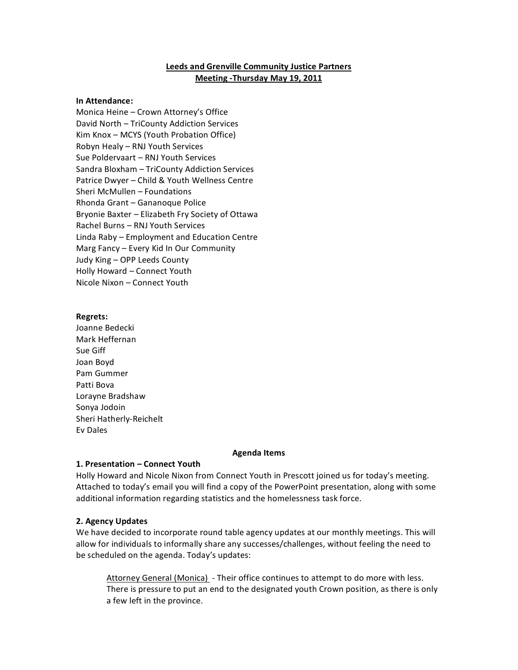# **Leeds and Grenville Community Justice Partners Meeting - Thursday May 19, 2011**

### **In%Attendance:**

Monica Heine - Crown Attorney's Office David North - TriCounty Addiction Services Kim Knox - MCYS (Youth Probation Office) Robyn Healy – RNJ Youth Services Sue Poldervaart – RNJ Youth Services Sandra Bloxham – TriCounty Addiction Services Patrice Dwyer – Child & Youth Wellness Centre Sheri McMullen - Foundations Rhonda Grant – Gananoque Police Bryonie Baxter - Elizabeth Fry Society of Ottawa Rachel Burns - RNJ Youth Services Linda Raby – Employment and Education Centre Marg Fancy - Every Kid In Our Community Judy King - OPP Leeds County Holly Howard – Connect Youth Nicole Nixon – Connect Youth

#### **Regrets:**

Joanne Bedecki Mark'Heffernan Sue Giff Joan'Boyd Pam'Gummer Patti Bova Lorayne Bradshaw Sonya'Jodoin Sheri Hatherly-Reichelt Ev'Dales

#### **Agenda%Items**

## 1. Presentation – Connect Youth

Holly Howard and Nicole Nixon from Connect Youth in Prescott joined us for today's meeting. Attached to today's email you will find a copy of the PowerPoint presentation, along with some additional information regarding statistics and the homelessness task force.

## **2.%Agency%Updates**

We have decided to incorporate round table agency updates at our monthly meetings. This will allow for individuals to informally share any successes/challenges, without feeling the need to be scheduled on the agenda. Today's updates:

Attorney General (Monica) - Their office continues to attempt to do more with less. There is pressure to put an end to the designated youth Crown position, as there is only a few left in the province.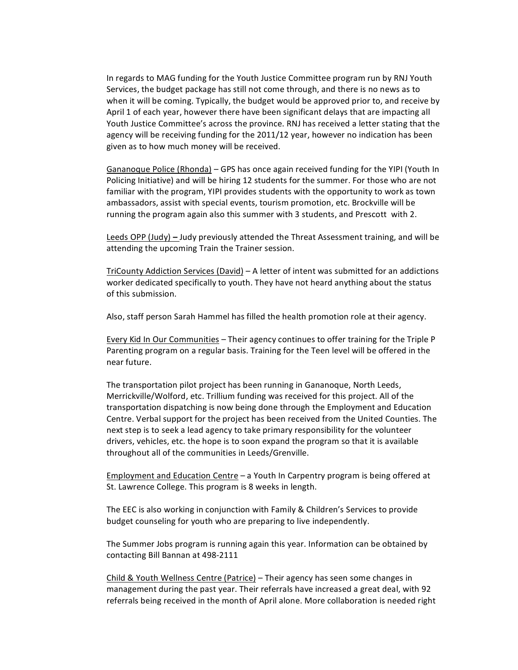In regards to MAG funding for the Youth Justice Committee program run by RNJ Youth Services, the budget package has still not come through, and there is no news as to when it will be coming. Typically, the budget would be approved prior to, and receive by April 1 of each year, however there have been significant delays that are impacting all Youth Justice Committee's across the province. RNJ has received a letter stating that the agency will be receiving funding for the 2011/12 year, however no indication has been given as to how much money will be received.

Gananoque Police (Rhonda) – GPS has once again received funding for the YIPI (Youth In Policing Initiative) and will be hiring 12 students for the summer. For those who are not familiar with the program, YIPI provides students with the opportunity to work as town ambassadors, assist with special events, tourism promotion, etc. Brockville will be running the program again also this summer with 3 students, and Prescott with 2.

Leeds OPP (Judy) – Judy previously attended the Threat Assessment training, and will be attending the upcoming Train the Trainer session.

TriCounty Addiction Services (David) – A letter of intent was submitted for an addictions worker dedicated specifically to youth. They have not heard anything about the status of this submission.

Also, staff person Sarah Hammel has filled the health promotion role at their agency.

Every Kid In Our Communities - Their agency continues to offer training for the Triple P Parenting program on a regular basis. Training for the Teen level will be offered in the near future.

The transportation pilot project has been running in Gananoque, North Leeds, Merrickville/Wolford, etc. Trillium funding was received for this project. All of the transportation dispatching is now being done through the Employment and Education Centre. Verbal support for the project has been received from the United Counties. The next step is to seek a lead agency to take primary responsibility for the volunteer drivers, vehicles, etc. the hope is to soon expand the program so that it is available throughout all of the communities in Leeds/Grenville.

Employment and Education Centre – a Youth In Carpentry program is being offered at St. Lawrence College. This program is 8 weeks in length.

The EEC is also working in conjunction with Family & Children's Services to provide budget counseling for youth who are preparing to live independently.

The Summer Jobs program is running again this year. Information can be obtained by contacting Bill Bannan at 498-2111

Child & Youth Wellness Centre (Patrice) – Their agency has seen some changes in management during the past year. Their referrals have increased a great deal, with 92 referrals being received in the month of April alone. More collaboration is needed right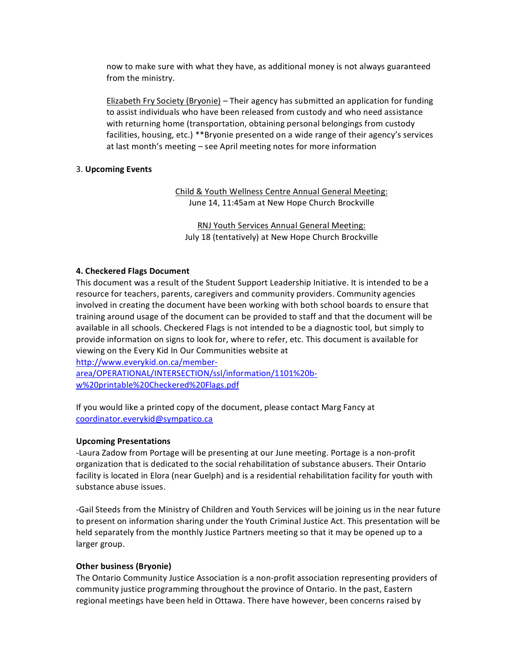now to make sure with what they have, as additional money is not always guaranteed from the ministry.

Elizabeth Fry Society (Bryonie) – Their agency has submitted an application for funding to assist individuals who have been released from custody and who need assistance with returning home (transportation, obtaining personal belongings from custody facilities, housing, etc.) \*\*Bryonie presented on a wide range of their agency's services at last month's meeting - see April meeting notes for more information

## 3.'**Upcoming%Events**

Child & Youth Wellness Centre Annual General Meeting: June 14, 11:45am at New Hope Church Brockville

RNJ Youth Services Annual General Meeting: July 18 (tentatively) at New Hope Church Brockville

## **4. Checkered Flags Document**

This document was a result of the Student Support Leadership Initiative. It is intended to be a resource for teachers, parents, caregivers and community providers. Community agencies involved in creating the document have been working with both school boards to ensure that training around usage of the document can be provided to staff and that the document will be available in all schools. Checkered Flags is not intended to be a diagnostic tool, but simply to provide information on signs to look for, where to refer, etc. This document is available for viewing on the Every Kid In Our Communities website at

http://www.everykid.on.ca/memberarea/OPERATIONAL/INTERSECTION/ssl/information/1101%20bw%20printable%20Checkered%20Flags.pdf

If you would like a printed copy of the document, please contact Marg Fancy at coordinator.everykid@sympatico.ca

## **Upcoming Presentations**

-Laura Zadow from Portage will be presenting at our June meeting. Portage is a non-profit organization that is dedicated to the social rehabilitation of substance abusers. Their Ontario facility is located in Elora (near Guelph) and is a residential rehabilitation facility for youth with substance abuse issues.

-Gail Steeds from the Ministry of Children and Youth Services will be joining us in the near future to present on information sharing under the Youth Criminal Justice Act. This presentation will be held separately from the monthly Justice Partners meeting so that it may be opened up to a larger group.

## **Other business (Bryonie)**

The Ontario Community Justice Association is a non-profit association representing providers of community justice programming throughout the province of Ontario. In the past, Eastern regional meetings have been held in Ottawa. There have however, been concerns raised by